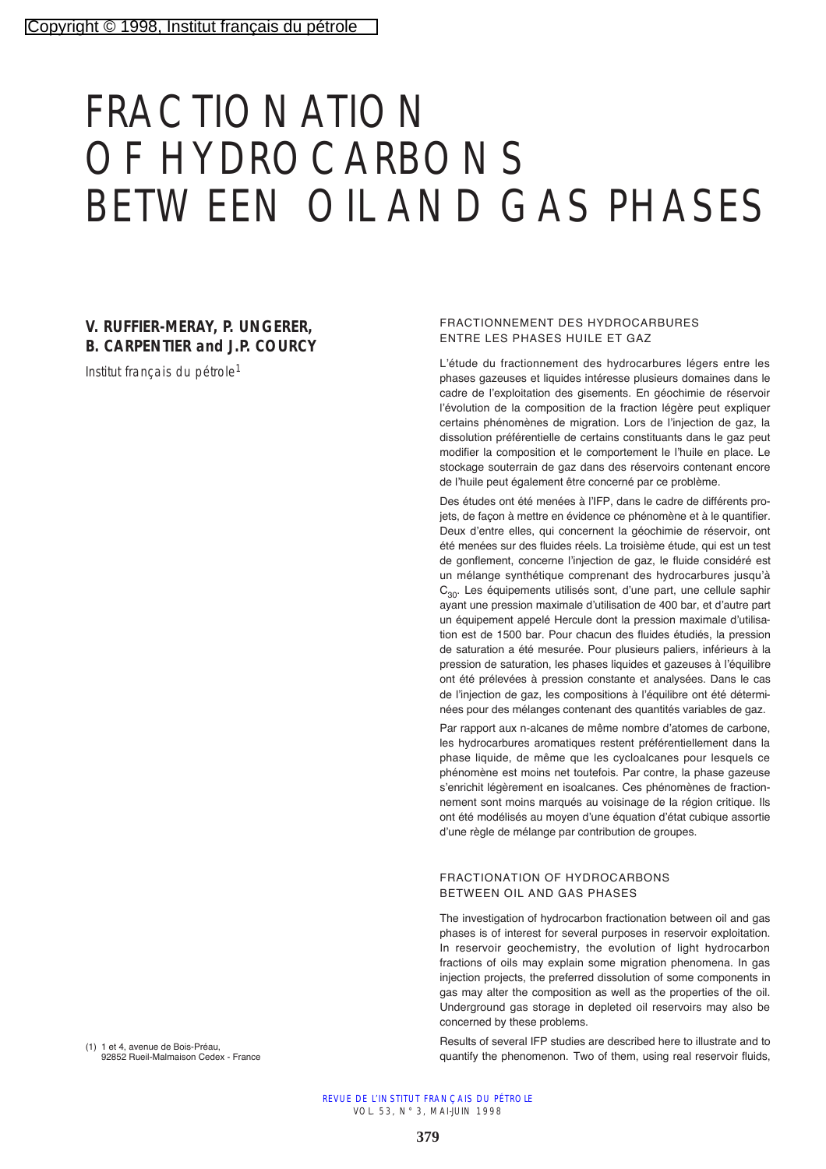# FRACTIONATION OF HYDROCARBONS BETWEEN OIL AND GAS PHASES

# **V. RUFFIER-MERAY, P. UNGERER, B. CARPENTIER and J.P. COURCY**

Institut français du pétrole<sup>1</sup>

#### FRACTIONNEMENT DES HYDROCARBURES ENTRE LES PHASES HUILE ET GAZ

L'étude du fractionnement des hydrocarbures légers entre les phases gazeuses et liquides intéresse plusieurs domaines dans le cadre de l'exploitation des gisements. En géochimie de réservoir l'évolution de la composition de la fraction légère peut expliquer certains phénomènes de migration. Lors de l'injection de gaz, la dissolution préférentielle de certains constituants dans le gaz peut modifier la composition et le comportement le l'huile en place. Le stockage souterrain de gaz dans des réservoirs contenant encore de l'huile peut également être concerné par ce problème.

Des études ont été menées à l'IFP, dans le cadre de différents projets, de façon à mettre en évidence ce phénomène et à le quantifier. Deux d'entre elles, qui concernent la géochimie de réservoir, ont été menées sur des fluides réels. La troisième étude, qui est un test de gonflement, concerne l'injection de gaz, le fluide considéré est un mélange synthétique comprenant des hydrocarbures jusqu'à C<sub>30</sub>. Les équipements utilisés sont, d'une part, une cellule saphir ayant une pression maximale d'utilisation de 400 bar, et d'autre part un équipement appelé Hercule dont la pression maximale d'utilisation est de 1500 bar. Pour chacun des fluides étudiés, la pression de saturation a été mesurée. Pour plusieurs paliers, inférieurs à la pression de saturation, les phases liquides et gazeuses à l'équilibre ont été prélevées à pression constante et analysées. Dans le cas de l'injection de gaz, les compositions à l'équilibre ont été déterminées pour des mélanges contenant des quantités variables de gaz.

Par rapport aux n-alcanes de même nombre d'atomes de carbone, les hydrocarbures aromatiques restent préférentiellement dans la phase liquide, de même que les cycloalcanes pour lesquels ce phénomène est moins net toutefois. Par contre, la phase gazeuse s'enrichit légèrement en isoalcanes. Ces phénomènes de fractionnement sont moins marqués au voisinage de la région critique. Ils ont été modélisés au moyen d'une équation d'état cubique assortie d'une règle de mélange par contribution de groupes.

#### FRACTIONATION OF HYDROCARBONS BETWEEN OIL AND GAS PHASES

The investigation of hydrocarbon fractionation between oil and gas phases is of interest for several purposes in reservoir exploitation. In reservoir geochemistry, the evolution of light hydrocarbon fractions of oils may explain some migration phenomena. In gas injection projects, the preferred dissolution of some components in gas may alter the composition as well as the properties of the oil. Underground gas storage in depleted oil reservoirs may also be concerned by these problems.

Results of several IFP studies are described here to illustrate and to quantify the phenomenon. Two of them, using real reservoir fluids,

(1) 1 et 4, avenue de Bois-Préau, 92852 Rueil-Malmaison Cedex - France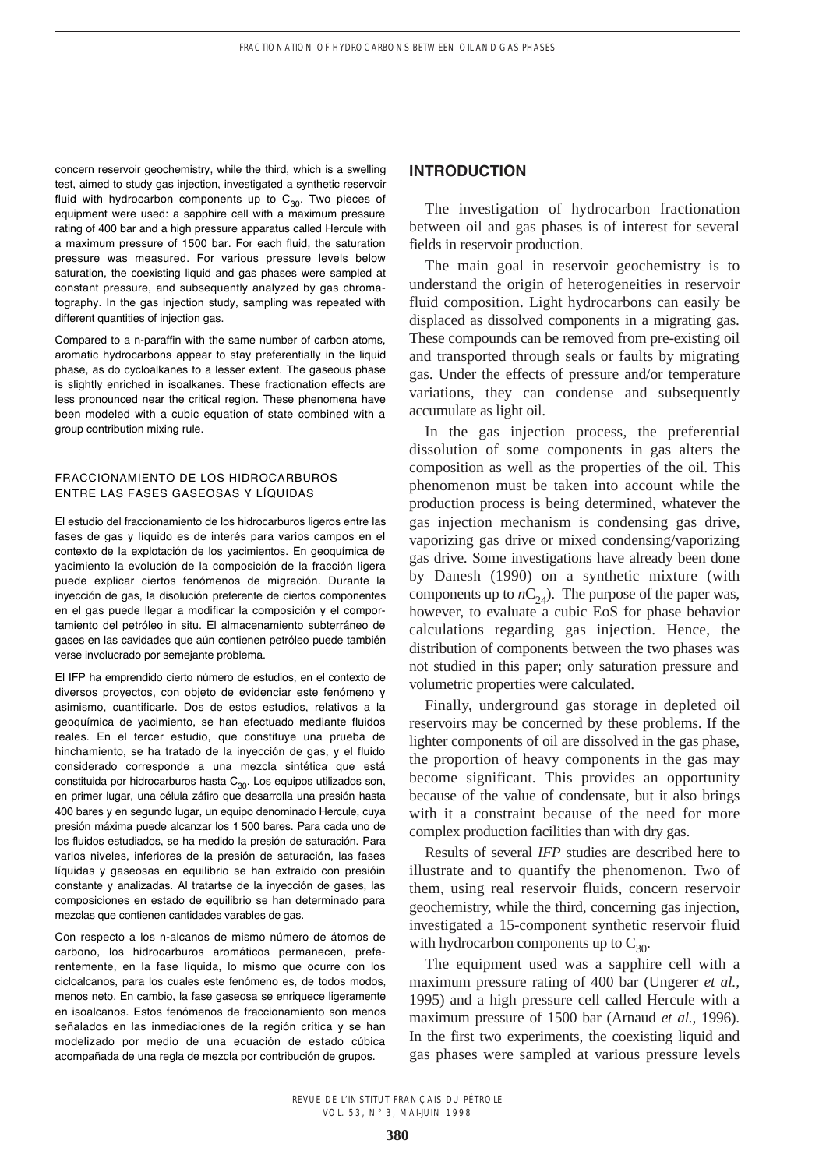concern reservoir geochemistry, while the third, which is a swelling test, aimed to study gas injection, investigated a synthetic reservoir fluid with hydrocarbon components up to  $C_{30}$ . Two pieces of equipment were used: a sapphire cell with a maximum pressure rating of 400 bar and a high pressure apparatus called Hercule with a maximum pressure of 1500 bar. For each fluid, the saturation pressure was measured. For various pressure levels below saturation, the coexisting liquid and gas phases were sampled at constant pressure, and subsequently analyzed by gas chromatography. In the gas injection study, sampling was repeated with different quantities of injection gas.

Compared to a n-paraffin with the same number of carbon atoms, aromatic hydrocarbons appear to stay preferentially in the liquid phase, as do cycloalkanes to a lesser extent. The gaseous phase is slightly enriched in isoalkanes. These fractionation effects are less pronounced near the critical region. These phenomena have been modeled with a cubic equation of state combined with a group contribution mixing rule.

#### FRACCIONAMIENTO DE LOS HIDROCARBUROS ENTRE LAS FASES GASEOSAS Y LÍQUIDAS

El estudio del fraccionamiento de los hidrocarburos ligeros entre las fases de gas y líquido es de interés para varios campos en el contexto de la explotación de los yacimientos. En geoquímica de yacimiento la evolución de la composición de la fracción ligera puede explicar ciertos fenómenos de migración. Durante la inyección de gas, la disolución preferente de ciertos componentes en el gas puede llegar a modificar la composición y el comportamiento del petróleo in situ. El almacenamiento subterráneo de gases en las cavidades que aún contienen petróleo puede también verse involucrado por semejante problema.

El IFP ha emprendido cierto número de estudios, en el contexto de diversos proyectos, con objeto de evidenciar este fenómeno y asimismo, cuantificarle. Dos de estos estudios, relativos a la geoquímica de yacimiento, se han efectuado mediante fluidos reales. En el tercer estudio, que constituye una prueba de hinchamiento, se ha tratado de la inyección de gas, y el fluido considerado corresponde a una mezcla sintética que está constituida por hidrocarburos hasta  $C_{30}$ . Los equipos utilizados son, en primer lugar, una célula záfiro que desarrolla una presión hasta 400 bares y en segundo lugar, un equipo denominado Hercule, cuya presión máxima puede alcanzar los 1 500 bares. Para cada uno de los fluidos estudiados, se ha medido la presión de saturación. Para varios niveles, inferiores de la presión de saturación, las fases líquidas y gaseosas en equilibrio se han extraido con presióin constante y analizadas. Al tratartse de la inyección de gases, las composiciones en estado de equilibrio se han determinado para mezclas que contienen cantidades varables de gas.

Con respecto a los n-alcanos de mismo número de átomos de carbono, los hidrocarburos aromáticos permanecen, preferentemente, en la fase líquida, lo mismo que ocurre con los cicloalcanos, para los cuales este fenómeno es, de todos modos, menos neto. En cambio, la fase gaseosa se enriquece ligeramente en isoalcanos. Estos fenómenos de fraccionamiento son menos señalados en las inmediaciones de la región crítica y se han modelizado por medio de una ecuación de estado cúbica acompañada de una regla de mezcla por contribución de grupos.

#### **INTRODUCTION**

The investigation of hydrocarbon fractionation between oil and gas phases is of interest for several fields in reservoir production.

The main goal in reservoir geochemistry is to understand the origin of heterogeneities in reservoir fluid composition. Light hydrocarbons can easily be displaced as dissolved components in a migrating gas. These compounds can be removed from pre-existing oil and transported through seals or faults by migrating gas. Under the effects of pressure and/or temperature variations, they can condense and subsequently accumulate as light oil.

In the gas injection process, the preferential dissolution of some components in gas alters the composition as well as the properties of the oil. This phenomenon must be taken into account while the production process is being determined, whatever the gas injection mechanism is condensing gas drive, vaporizing gas drive or mixed condensing/vaporizing gas drive. Some investigations have already been done by Danesh (1990) on a synthetic mixture (with components up to  $nC_{24}$ ). The purpose of the paper was, however, to evaluate a cubic EoS for phase behavior calculations regarding gas injection. Hence, the distribution of components between the two phases was not studied in this paper; only saturation pressure and volumetric properties were calculated.

Finally, underground gas storage in depleted oil reservoirs may be concerned by these problems. If the lighter components of oil are dissolved in the gas phase, the proportion of heavy components in the gas may become significant. This provides an opportunity because of the value of condensate, but it also brings with it a constraint because of the need for more complex production facilities than with dry gas.

Results of several *IFP* studies are described here to illustrate and to quantify the phenomenon. Two of them, using real reservoir fluids, concern reservoir geochemistry, while the third, concerning gas injection, investigated a 15-component synthetic reservoir fluid with hydrocarbon components up to  $C_{30}$ .

The equipment used was a sapphire cell with a maximum pressure rating of 400 bar (Ungerer *et al.,* 1995) and a high pressure cell called Hercule with a maximum pressure of 1500 bar (Arnaud *et al.,* 1996). In the first two experiments, the coexisting liquid and gas phases were sampled at various pressure levels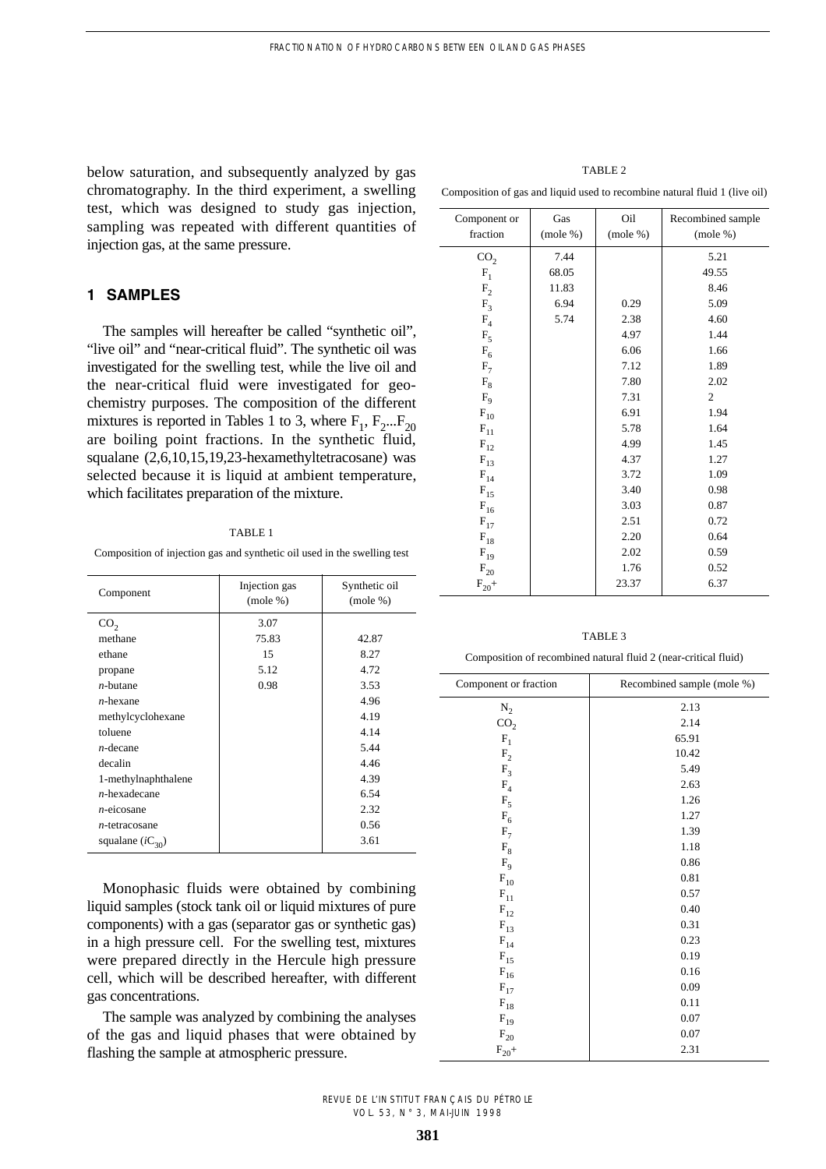below saturation, and subsequently analyzed by gas chromatography. In the third experiment, a swelling test, which was designed to study gas injection, sampling was repeated with different quantities of injection gas, at the same pressure.

### **1 SAMPLES**

The samples will hereafter be called "synthetic oil", "live oil" and "near-critical fluid". The synthetic oil was investigated for the swelling test, while the live oil and the near-critical fluid were investigated for geochemistry purposes. The composition of the different mixtures is reported in Tables 1 to 3, where  $F_1, F_2...F_{20}$ are boiling point fractions. In the synthetic fluid, squalane (2,6,10,15,19,23-hexamethyltetracosane) was selected because it is liquid at ambient temperature, which facilitates preparation of the mixture.

| fraction            | (mole %) | (mole %) | (mole %)       |
|---------------------|----------|----------|----------------|
| CO <sub>2</sub>     | 7.44     |          | 5.21           |
| $F_1$               | 68.05    |          | 49.55          |
| F <sub>2</sub>      | 11.83    |          | 8.46           |
| $F_3$               | 6.94     | 0.29     | 5.09           |
| $F_4$               | 5.74     | 2.38     | 4.60           |
| $F_5$               |          | 4.97     | 1.44           |
| $F_6$               |          | 6.06     | 1.66           |
| $F_7$               |          | 7.12     | 1.89           |
| $\mathrm{F}_8$      |          | 7.80     | 2.02           |
| F <sub>9</sub>      |          | 7.31     | $\overline{c}$ |
| ${\rm F}_{10}$      |          | 6.91     | 1.94           |
| $\mathbf{F}_{11}$   |          | 5.78     | 1.64           |
| $F_{12}$            |          | 4.99     | 1.45           |
| $\mathrm{F}_{13}$   |          | 4.37     | 1.27           |
| $\rm F_{14}$        |          | 3.72     | 1.09           |
| $F_{15}$            |          | 3.40     | 0.98           |
| $\mathrm{F}_{16}$   |          | 3.03     | 0.87           |
| $\mathrm{F}_{17}$   |          | 2.51     | 0.72           |
| $F_{18}$            |          | 2.20     | 0.64           |
| $F_{19}$            |          | 2.02     | 0.59           |
| $\mathrm{F}_{20}$   |          | 1.76     | 0.52           |
| $\mathrm{F}_{20}^+$ |          | 23.37    | 6.37           |

TABLE 2 Composition of gas and liquid used to recombine natural fluid 1 (live oil) Component or Gas Coil Recombined sample

TABLE 1

Composition of injection gas and synthetic oil used in the swelling test

| Component            | Injection gas<br>(mole %) | Synthetic oil<br>(mole %) |
|----------------------|---------------------------|---------------------------|
| CO <sub>2</sub>      | 3.07                      |                           |
| methane              | 75.83                     | 42.87                     |
| ethane               | 15                        | 8.27                      |
| propane              | 5.12                      | 4.72                      |
| $n$ -butane          | 0.98                      | 3.53                      |
| $n$ -hexane          |                           | 4.96                      |
| methylcyclohexane    |                           | 4.19                      |
| toluene              |                           | 4.14                      |
| $n$ -decane          |                           | 5.44                      |
| decalin              |                           | 4.46                      |
| 1-methylnaphthalene  |                           | 4.39                      |
| $n$ -hexadecane      |                           | 6.54                      |
| $n$ -eicosane        |                           | 2.32                      |
| $n$ -tetracosane     |                           | 0.56                      |
| squalane $(iC_{30})$ |                           | 3.61                      |
|                      |                           |                           |

Monophasic fluids were obtained by combining liquid samples (stock tank oil or liquid mixtures of pure components) with a gas (separator gas or synthetic gas) in a high pressure cell. For the swelling test, mixtures were prepared directly in the Hercule high pressure cell, which will be described hereafter, with different gas concentrations.

The sample was analyzed by combining the analyses of the gas and liquid phases that were obtained by flashing the sample at atmospheric pressure.

TABLE 3

| Component or fraction | Recombined sample (mole %) |
|-----------------------|----------------------------|
| $N_2$                 | 2.13                       |
| CO <sub>2</sub>       | 2.14                       |
| $F_1$                 | 65.91                      |
| F <sub>2</sub>        | 10.42                      |
| $F_3$                 | 5.49                       |
| $F_4$                 | 2.63                       |
| $F_5$                 | 1.26                       |
| $F_6$                 | 1.27                       |
| $F_7$                 | 1.39                       |
| $F_8$                 | 1.18                       |
| $F_9$                 | 0.86                       |
| $\mathrm{F}_{10}$     | 0.81                       |
| ${\rm F}_{11}$        | 0.57                       |
| $F_{12}$              | 0.40                       |
| $\mathrm{F}_{13}$     | 0.31                       |
| $\rm F_{14}$          | 0.23                       |
| $F_{15}$              | 0.19                       |
| $\mathrm{F}_{16}$     | 0.16                       |
| ${\rm F}_{17}$        | 0.09                       |
| $\rm F_{18}$          | 0.11                       |
| $\mathrm{F}_{19}$     | 0.07                       |
| $\mathrm{F}_{20}$     | 0.07                       |
| $F_{20}+$             | 2.31                       |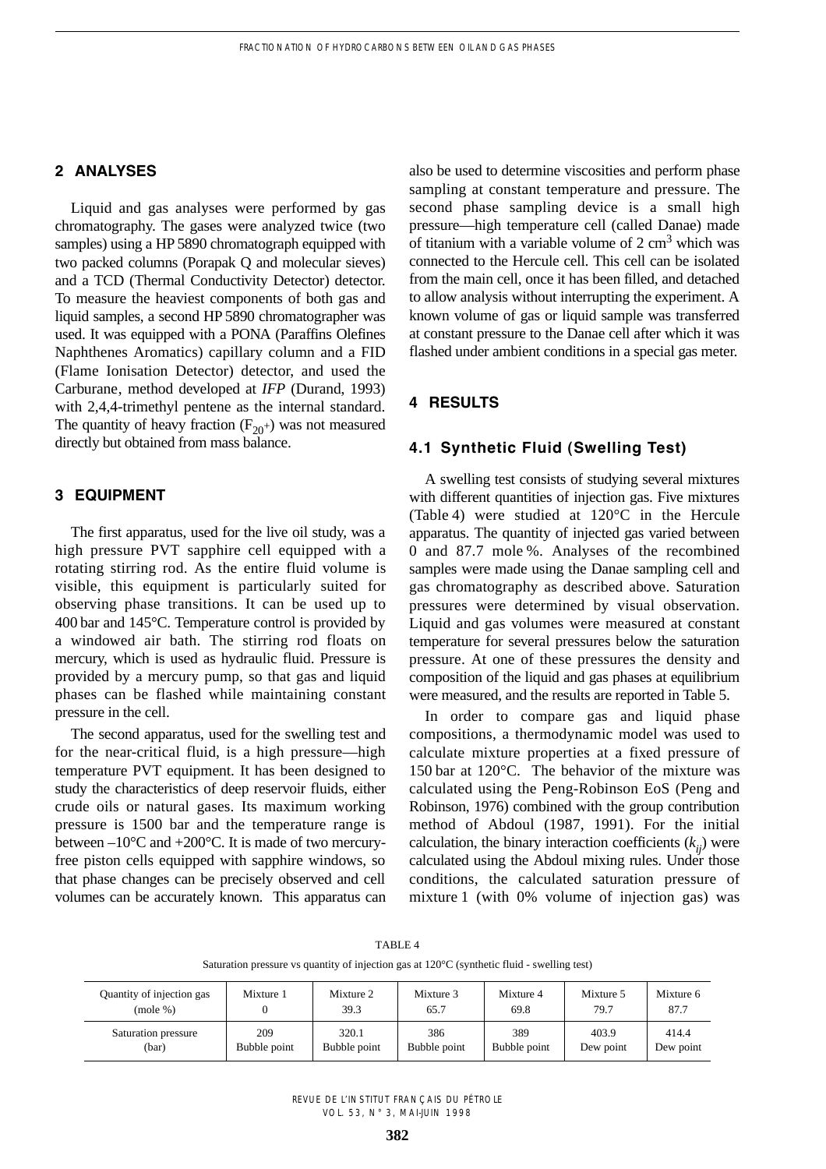#### **2 ANALYSES**

Liquid and gas analyses were performed by gas chromatography. The gases were analyzed twice (two samples) using a HP 5890 chromatograph equipped with two packed columns (Porapak Q and molecular sieves) and a TCD (Thermal Conductivity Detector) detector. To measure the heaviest components of both gas and liquid samples, a second HP 5890 chromatographer was used. It was equipped with a PONA (Paraffins Olefines Naphthenes Aromatics) capillary column and a FID (Flame Ionisation Detector) detector, and used the Carburane, method developed at *IFP* (Durand, 1993) with 2,4,4-trimethyl pentene as the internal standard. The quantity of heavy fraction  $(F_{20^+})$  was not measured directly but obtained from mass balance.

# **3 EQUIPMENT**

The first apparatus, used for the live oil study, was a high pressure PVT sapphire cell equipped with a rotating stirring rod. As the entire fluid volume is visible, this equipment is particularly suited for observing phase transitions. It can be used up to 400 bar and 145°C. Temperature control is provided by a windowed air bath. The stirring rod floats on mercury, which is used as hydraulic fluid. Pressure is provided by a mercury pump, so that gas and liquid phases can be flashed while maintaining constant pressure in the cell.

The second apparatus, used for the swelling test and for the near-critical fluid, is a high pressure—high temperature PVT equipment. It has been designed to study the characteristics of deep reservoir fluids, either crude oils or natural gases. Its maximum working pressure is 1500 bar and the temperature range is between  $-10^{\circ}$ C and  $+200^{\circ}$ C. It is made of two mercuryfree piston cells equipped with sapphire windows, so that phase changes can be precisely observed and cell volumes can be accurately known. This apparatus can

also be used to determine viscosities and perform phase sampling at constant temperature and pressure. The second phase sampling device is a small high pressure—high temperature cell (called Danae) made of titanium with a variable volume of  $2 \text{ cm}^3$  which was connected to the Hercule cell. This cell can be isolated from the main cell, once it has been filled, and detached to allow analysis without interrupting the experiment. A known volume of gas or liquid sample was transferred at constant pressure to the Danae cell after which it was flashed under ambient conditions in a special gas meter.

## **4 RESULTS**

#### **4.1 Synthetic Fluid (Swelling Test)**

A swelling test consists of studying several mixtures with different quantities of injection gas. Five mixtures (Table 4) were studied at 120°C in the Hercule apparatus. The quantity of injected gas varied between 0 and 87.7 mole %. Analyses of the recombined samples were made using the Danae sampling cell and gas chromatography as described above. Saturation pressures were determined by visual observation. Liquid and gas volumes were measured at constant temperature for several pressures below the saturation pressure. At one of these pressures the density and composition of the liquid and gas phases at equilibrium were measured, and the results are reported in Table 5.

In order to compare gas and liquid phase compositions, a thermodynamic model was used to calculate mixture properties at a fixed pressure of 150 bar at 120°C. The behavior of the mixture was calculated using the Peng-Robinson EoS (Peng and Robinson, 1976) combined with the group contribution method of Abdoul (1987, 1991). For the initial calculation, the binary interaction coefficients  $(k_{ii})$  were calculated using the Abdoul mixing rules. Under those conditions, the calculated saturation pressure of mixture 1 (with 0% volume of injection gas) was

TABLE 4

Saturation pressure vs quantity of injection gas at 120°C (synthetic fluid - swelling test)

| Quantity of injection gas | Mixture 1    | Mixture 2    | Mixture 3    | Mixture 4    | Mixture 5 | Mixture 6 |
|---------------------------|--------------|--------------|--------------|--------------|-----------|-----------|
| (mole %)                  |              | 39.3         | 65.7         | 69.8         | 79.7      | 87.7      |
| Saturation pressure       | 209          | 320.1        | 386          | 389          | 403.9     | 414.4     |
| (bar)                     | Bubble point | Bubble point | Bubble point | Bubble point | Dew point | Dew point |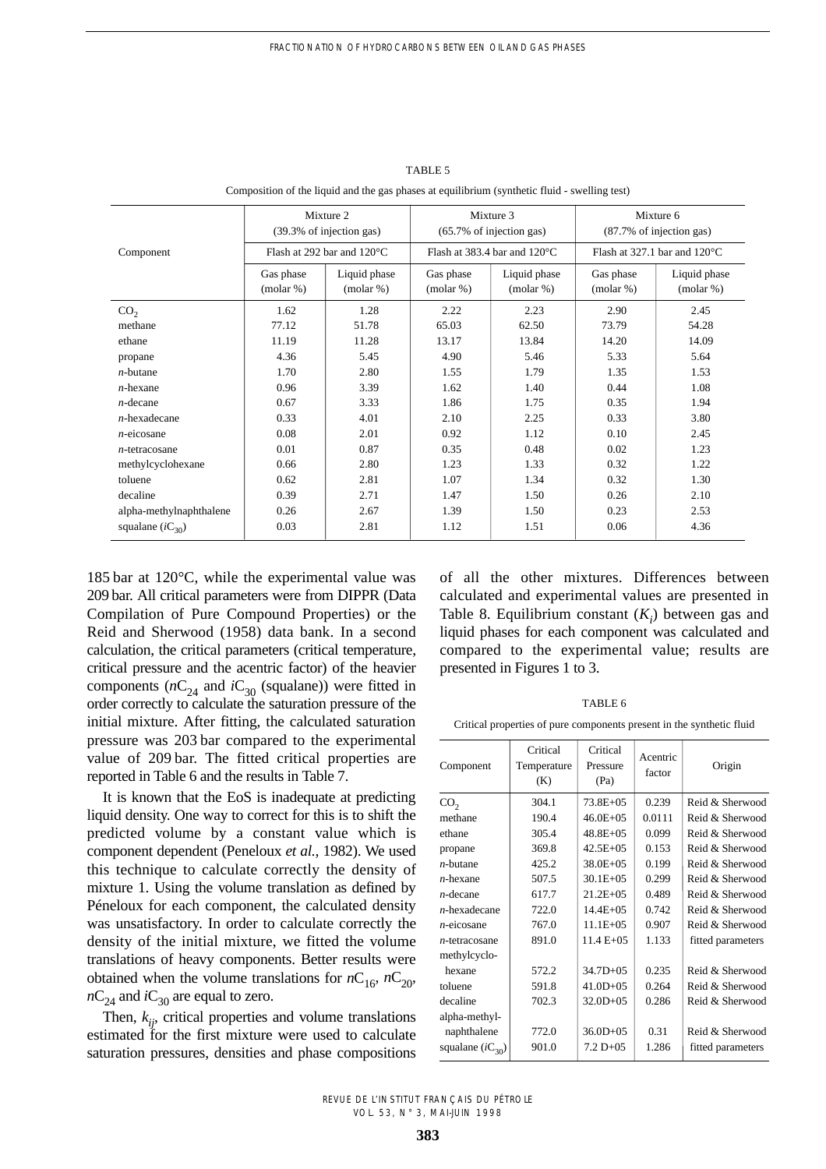|                         |                        | Mixture 2<br>(39.3% of injection gas) |                        | Mixture 3<br>$(65.7\% \text{ of injection gas})$ | Mixture 6<br>(87.7% of injection gas)  |                           |  |
|-------------------------|------------------------|---------------------------------------|------------------------|--------------------------------------------------|----------------------------------------|---------------------------|--|
| Component               |                        | Flash at 292 bar and 120°C            |                        | Flash at 383.4 bar and $120^{\circ}$ C           | Flash at 327.1 bar and $120^{\circ}$ C |                           |  |
|                         | Gas phase<br>(molar %) | Liquid phase<br>(molar %)             | Gas phase<br>(molar %) | Liquid phase<br>(molar %)                        | Gas phase<br>(molar %)                 | Liquid phase<br>(molar %) |  |
| CO <sub>2</sub>         | 1.62                   | 1.28                                  | 2.22                   | 2.23                                             | 2.90                                   | 2.45                      |  |
| methane                 | 77.12                  | 51.78                                 | 65.03                  | 62.50                                            | 73.79                                  | 54.28                     |  |
| ethane                  | 11.19                  | 11.28                                 | 13.17                  | 13.84                                            | 14.20                                  | 14.09                     |  |
| propane                 | 4.36                   | 5.45                                  | 4.90                   | 5.46                                             | 5.33                                   | 5.64                      |  |
| $n$ -butane             | 1.70                   | 2.80                                  | 1.55                   | 1.79                                             | 1.35                                   | 1.53                      |  |
| $n$ -hexane             | 0.96                   | 3.39                                  | 1.62                   | 1.40                                             | 0.44                                   | 1.08                      |  |
| $n$ -decane             | 0.67                   | 3.33                                  | 1.86                   | 1.75                                             | 0.35                                   | 1.94                      |  |
| $n$ -hexadecane         | 0.33                   | 4.01                                  | 2.10                   | 2.25                                             | 0.33                                   | 3.80                      |  |
| $n$ -eicosane           | 0.08                   | 2.01                                  | 0.92                   | 1.12                                             | 0.10                                   | 2.45                      |  |
| $n$ -tetracosane        | 0.01                   | 0.87                                  | 0.35                   | 0.48                                             | 0.02                                   | 1.23                      |  |
| methylcyclohexane       | 0.66                   | 2.80                                  | 1.23                   | 1.33                                             | 0.32                                   | 1.22                      |  |
| toluene                 | 0.62                   | 2.81                                  | 1.07                   | 1.34                                             | 0.32                                   | 1.30                      |  |
| decaline                | 0.39                   | 2.71                                  | 1.47                   | 1.50                                             | 0.26                                   | 2.10                      |  |
| alpha-methylnaphthalene | 0.26                   | 2.67                                  | 1.39                   | 1.50                                             | 0.23                                   | 2.53                      |  |
| squalane $(iC_{30})$    | 0.03                   | 2.81                                  | 1.12                   | 1.51                                             | 0.06                                   | 4.36                      |  |

TABLE 5

Composition of the liquid and the gas phases at equilibrium (synthetic fluid - swelling test)

185 bar at 120°C, while the experimental value was 209 bar. All critical parameters were from DIPPR (Data Compilation of Pure Compound Properties) or the Reid and Sherwood (1958) data bank. In a second calculation, the critical parameters (critical temperature, critical pressure and the acentric factor) of the heavier components ( $nC_{24}$  and  $iC_{30}$  (squalane)) were fitted in order correctly to calculate the saturation pressure of the initial mixture. After fitting, the calculated saturation pressure was 203 bar compared to the experimental value of 209 bar. The fitted critical properties are reported in Table 6 and the results in Table 7.

It is known that the EoS is inadequate at predicting liquid density. One way to correct for this is to shift the predicted volume by a constant value which is component dependent (Peneloux *et al.,* 1982). We used this technique to calculate correctly the density of mixture 1. Using the volume translation as defined by Péneloux for each component, the calculated density was unsatisfactory. In order to calculate correctly the density of the initial mixture, we fitted the volume translations of heavy components. Better results were obtained when the volume translations for  $nC_{16}$ ,  $nC_{20}$ ,  $nC_{24}$  and  $iC_{30}$  are equal to zero.

Then,  $k_{ii}$ , critical properties and volume translations estimated for the first mixture were used to calculate saturation pressures, densities and phase compositions

of all the other mixtures. Differences between calculated and experimental values are presented in Table 8. Equilibrium constant  $(K<sub>i</sub>)$  between gas and liquid phases for each component was calculated and compared to the experimental value; results are presented in Figures 1 to 3.

TABLE 6

Critical properties of pure components present in the synthetic fluid

| Component            | Critical<br>Temperature<br>(K) | Critical<br>Pressure<br>(Pa) | Acentric<br>factor | Origin            |
|----------------------|--------------------------------|------------------------------|--------------------|-------------------|
| CO <sub>2</sub>      | 304.1                          | 73.8E+05                     | 0.239              | Reid & Sherwood   |
| methane              | 190.4                          | $46.0E + 05$                 | 0.0111             | Reid & Sherwood   |
| ethane               | 305.4                          | $48.8E + 0.5$                | 0.099              | Reid & Sherwood   |
| propane              | 369.8                          | $42.5E + 05$                 | 0.153              | Reid & Sherwood   |
| $n$ -butane          | 425.2                          | $38.0E + 05$                 | 0.199              | Reid & Sherwood   |
| $n$ -hexane          | 507.5                          | $30.1E + 05$                 | 0.299              | Reid & Sherwood   |
| $n$ -decane          | 617.7                          | $21.2E + 0.5$                | 0.489              | Reid & Sherwood   |
| $n$ -hexadecane      | 722.0                          | $14.4E + 05$                 | 0.742              | Reid & Sherwood   |
| $n$ -eicosane        | 767.0                          | $11.1E + 05$                 | 0.907              | Reid & Sherwood   |
| $n$ -tetracosane     | 891.0                          | $11.4 E + 0.5$               | 1.133              | fitted parameters |
| methylcyclo-         |                                |                              |                    |                   |
| hexane               | 572.2                          | $34.7D + 05$                 | 0.235              | Reid & Sherwood   |
| toluene              | 591.8                          | $41.0D + 05$                 | 0.264              | Reid & Sherwood   |
| decaline             | 702.3                          | $32.0D + 05$                 | 0.286              | Reid & Sherwood   |
| alpha-methyl-        |                                |                              |                    |                   |
| naphthalene          | 772.0                          | $36.0D + 05$                 | 0.31               | Reid & Sherwood   |
| squalane $(iC_{30})$ | 901.0                          | $7.2 D + 0.5$                | 1.286              | fitted parameters |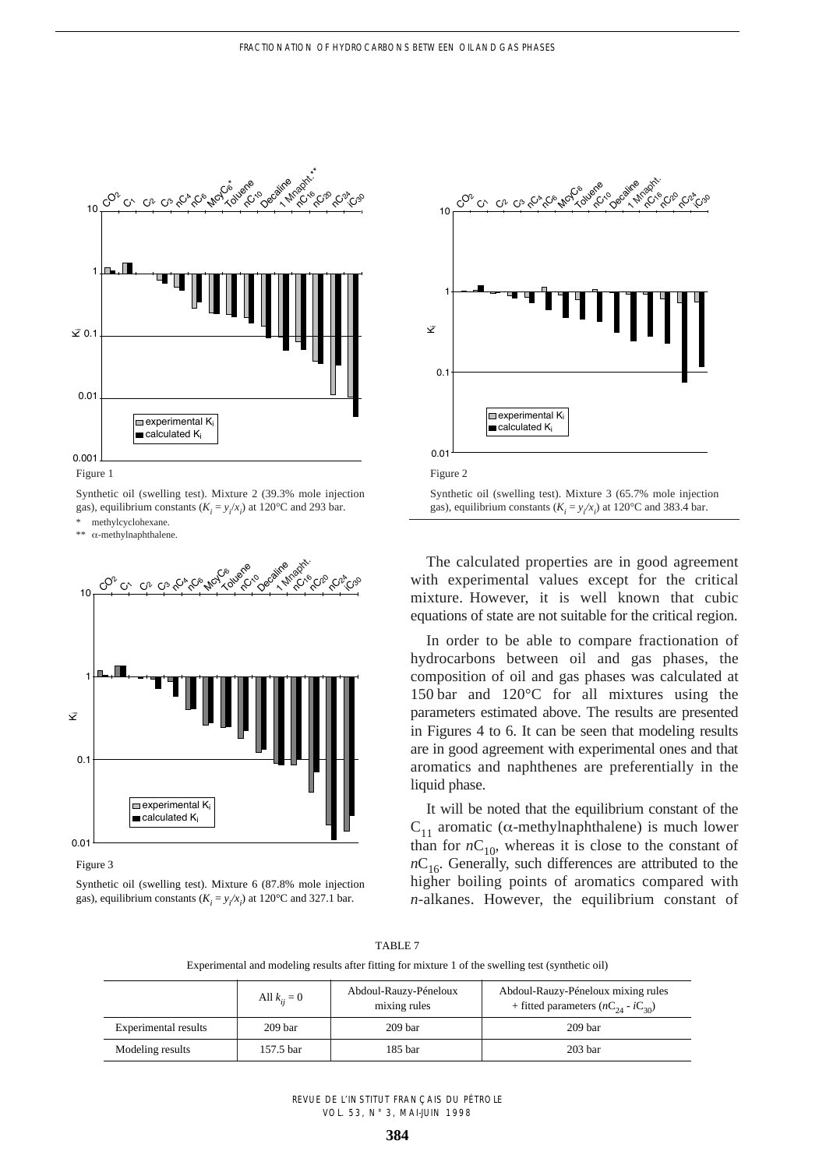



Synthetic oil (swelling test). Mixture 2 (39.3% mole injection gas), equilibrium constants  $(K_i = y_i/x_i)$  at 120°C and 293 bar. methylcyclohexane.

\*\* a-methylnaphthalene.



Figure 3

Synthetic oil (swelling test). Mixture 6 (87.8% mole injection gas), equilibrium constants  $(K_i = y_i / x_i)$  at 120°C and 327.1 bar.



The calculated properties are in good agreement with experimental values except for the critical mixture. However, it is well known that cubic equations of state are not suitable for the critical region.

In order to be able to compare fractionation of hydrocarbons between oil and gas phases, the composition of oil and gas phases was calculated at 150 bar and 120°C for all mixtures using the parameters estimated above. The results are presented in Figures 4 to 6. It can be seen that modeling results are in good agreement with experimental ones and that aromatics and naphthenes are preferentially in the liquid phase.

It will be noted that the equilibrium constant of the  $C_{11}$  aromatic ( $\alpha$ -methylnaphthalene) is much lower than for  $nC_{10}$ , whereas it is close to the constant of  $nC_{16}$ . Generally, such differences are attributed to the higher boiling points of aromatics compared with *n*-alkanes. However, the equilibrium constant of

Experimental and modeling results after fitting for mixture 1 of the swelling test (synthetic oil)

|                      | All $k_{ii} = 0$   | Abdoul-Rauzy-Péneloux<br>mixing rules | Abdoul-Rauzy-Péneloux mixing rules<br>+ fitted parameters $(nC_{24} - iC_{30})$ |
|----------------------|--------------------|---------------------------------------|---------------------------------------------------------------------------------|
| Experimental results | 209 <sub>bar</sub> | 209 <sub>bar</sub>                    | 209 <sub>bar</sub>                                                              |
| Modeling results     | 157.5 bar          | 185 bar                               | 203 <sub>bar</sub>                                                              |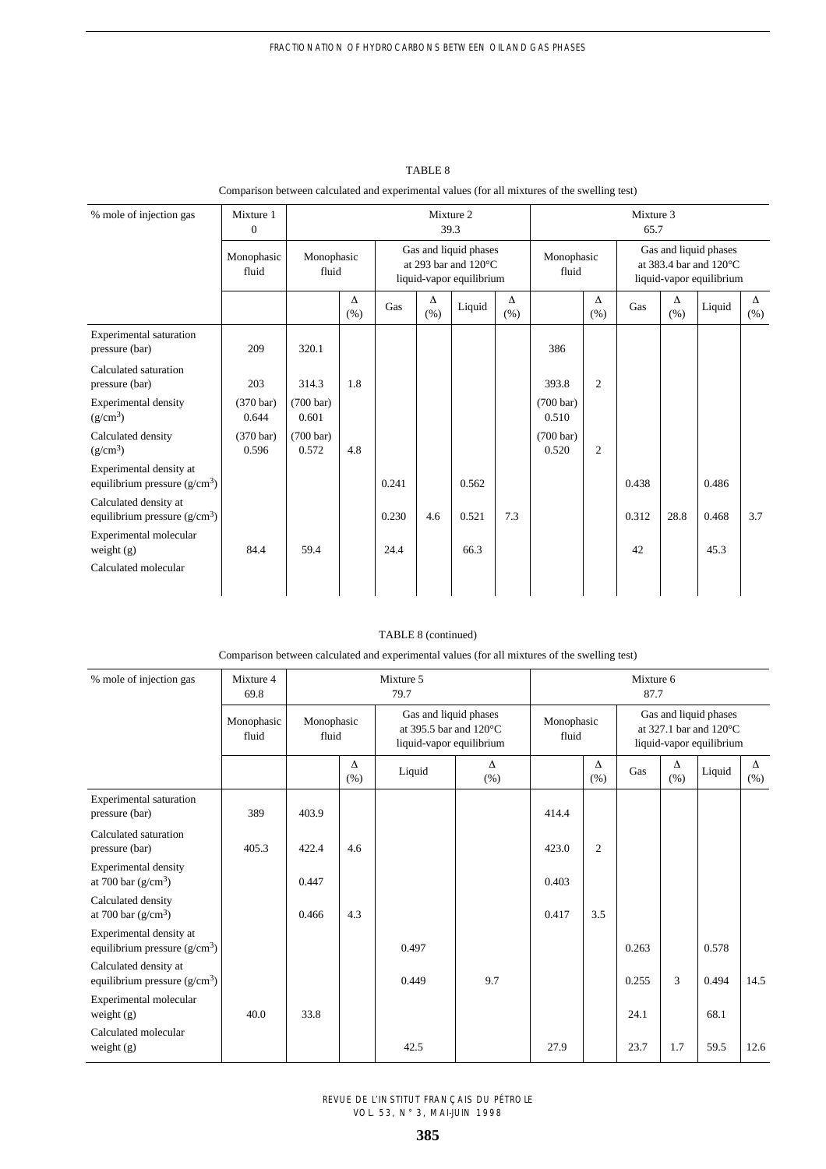| % mole of injection gas                                    | Mixture 1<br>$\mathbf{0}$    |                              | Mixture 2<br>39.3 |                                                                                     |                  |        |                     | Mixture 3<br>65.7            |                                                                                       |       |           |        |                  |
|------------------------------------------------------------|------------------------------|------------------------------|-------------------|-------------------------------------------------------------------------------------|------------------|--------|---------------------|------------------------------|---------------------------------------------------------------------------------------|-------|-----------|--------|------------------|
|                                                            | Monophasic<br>fluid          | Monophasic<br>fluid          |                   | Gas and liquid phases<br>at 293 bar and $120^{\circ}$ C<br>liquid-vapor equilibrium |                  |        | Monophasic<br>fluid |                              | Gas and liquid phases<br>at 383.4 bar and $120^{\circ}$ C<br>liquid-vapor equilibrium |       |           |        |                  |
|                                                            |                              |                              | Δ<br>(% )         | Gas                                                                                 | $\Delta$<br>(% ) | Liquid | $\Delta$<br>(% )    |                              | Δ<br>(% )                                                                             | Gas   | Δ<br>(% ) | Liquid | $\Delta$<br>(% ) |
| Experimental saturation<br>pressure (bar)                  | 209                          | 320.1                        |                   |                                                                                     |                  |        |                     | 386                          |                                                                                       |       |           |        |                  |
| Calculated saturation<br>pressure (bar)                    | 203                          | 314.3                        | 1.8               |                                                                                     |                  |        |                     | 393.8                        | $\overline{c}$                                                                        |       |           |        |                  |
| <b>Experimental density</b><br>$(g/cm^3)$                  | $(370 \text{ bar})$<br>0.644 | $(700 \text{ bar})$<br>0.601 |                   |                                                                                     |                  |        |                     | $(700 \text{ bar})$<br>0.510 |                                                                                       |       |           |        |                  |
| Calculated density<br>(g/cm <sup>3</sup> )                 | $(370 \text{ bar})$<br>0.596 | $(700 \text{ bar})$<br>0.572 | 4.8               |                                                                                     |                  |        |                     | $(700 \text{ bar})$<br>0.520 | $\overline{c}$                                                                        |       |           |        |                  |
| Experimental density at<br>equilibrium pressure $(g/cm^3)$ |                              |                              |                   | 0.241                                                                               |                  | 0.562  |                     |                              |                                                                                       | 0.438 |           | 0.486  |                  |
| Calculated density at<br>equilibrium pressure $(g/cm^3)$   |                              |                              |                   | 0.230                                                                               | 4.6              | 0.521  | 7.3                 |                              |                                                                                       | 0.312 | 28.8      | 0.468  | 3.7              |
| Experimental molecular<br>weight $(g)$                     | 84.4                         | 59.4                         |                   | 24.4                                                                                |                  | 66.3   |                     |                              |                                                                                       | 42    |           | 45.3   |                  |
| Calculated molecular                                       |                              |                              |                   |                                                                                     |                  |        |                     |                              |                                                                                       |       |           |        |                  |

TABLE 8

# Comparison between calculated and experimental values (for all mixtures of the swelling test)

#### TABLE 8 (continued)

Comparison between calculated and experimental values (for all mixtures of the swelling test)

| % mole of injection gas                                   | Mixture 4<br>69.8   | Mixture 5<br>79.7 |                                                                                                              |        |                     | Mixture 6<br>87.7 |                                                                                       |       |           |        |           |  |
|-----------------------------------------------------------|---------------------|-------------------|--------------------------------------------------------------------------------------------------------------|--------|---------------------|-------------------|---------------------------------------------------------------------------------------|-------|-----------|--------|-----------|--|
|                                                           | Monophasic<br>fluid |                   | Gas and liquid phases<br>Monophasic<br>at 395.5 bar and $120^{\circ}$ C<br>fluid<br>liquid-vapor equilibrium |        | Monophasic<br>fluid |                   | Gas and liquid phases<br>at 327.1 bar and $120^{\circ}$ C<br>liquid-vapor equilibrium |       |           |        |           |  |
|                                                           |                     |                   | Δ<br>(% )                                                                                                    | Liquid | Δ<br>(% )           |                   | Δ<br>(% )                                                                             | Gas   | Δ<br>(% ) | Liquid | Δ<br>(% ) |  |
| Experimental saturation<br>pressure (bar)                 | 389                 | 403.9             |                                                                                                              |        |                     | 414.4             |                                                                                       |       |           |        |           |  |
| Calculated saturation<br>pressure (bar)                   | 405.3               | 422.4             | 4.6                                                                                                          |        |                     | 423.0             | $\overline{2}$                                                                        |       |           |        |           |  |
| Experimental density<br>at 700 bar $(g/cm^3)$             |                     | 0.447             |                                                                                                              |        |                     | 0.403             |                                                                                       |       |           |        |           |  |
| Calculated density<br>at 700 bar $(g/cm^3)$               |                     | 0.466             | 4.3                                                                                                          |        |                     | 0.417             | 3.5                                                                                   |       |           |        |           |  |
| Experimental density at<br>equilibrium pressure $(g/cm3)$ |                     |                   |                                                                                                              | 0.497  |                     |                   |                                                                                       | 0.263 |           | 0.578  |           |  |
| Calculated density at<br>equilibrium pressure $(g/cm3)$   |                     |                   |                                                                                                              | 0.449  | 9.7                 |                   |                                                                                       | 0.255 | 3         | 0.494  | 14.5      |  |
| Experimental molecular<br>weight $(g)$                    | 40.0                | 33.8              |                                                                                                              |        |                     |                   |                                                                                       | 24.1  |           | 68.1   |           |  |
| Calculated molecular<br>weight $(g)$                      |                     |                   |                                                                                                              | 42.5   |                     | 27.9              |                                                                                       | 23.7  | 1.7       | 59.5   | 12.6      |  |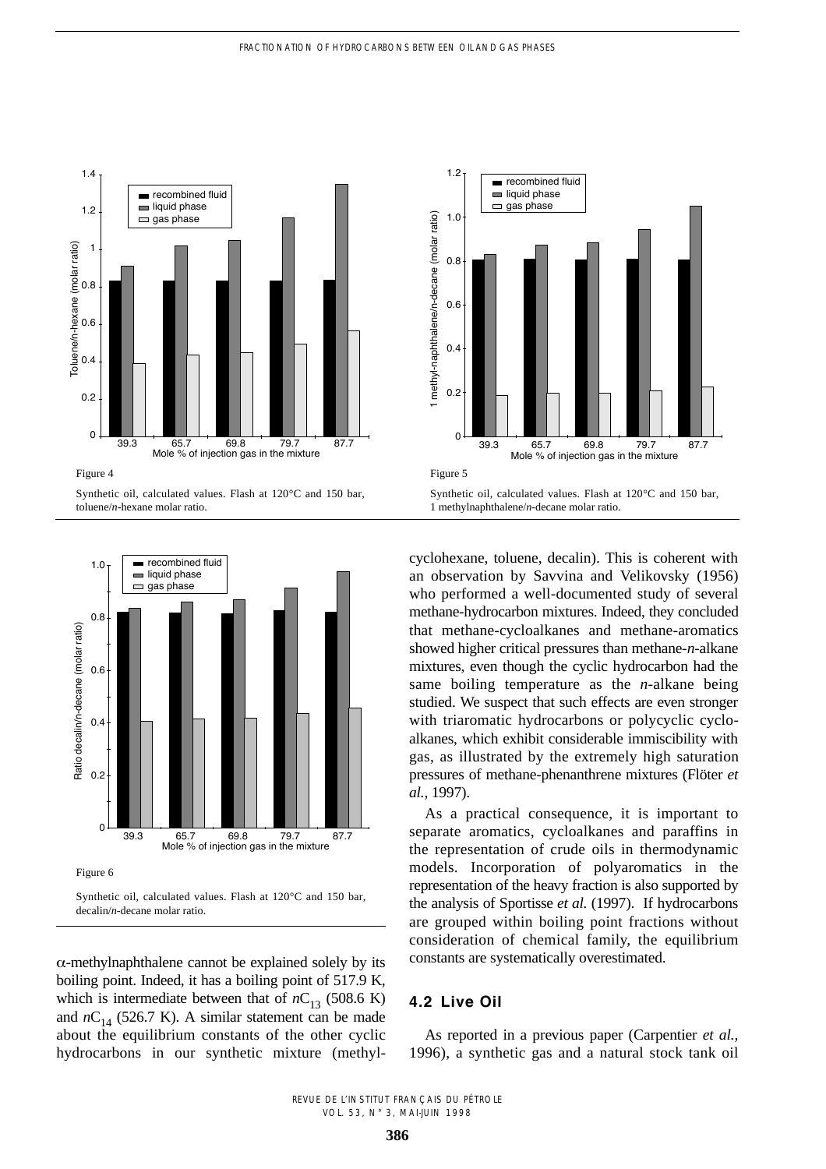

Synthetic oil, calculated values. Flash at 120°C and 150 bar, toluene/*n*-hexane molar ratio.



 $\alpha$ -methylnaphthalene cannot be explained solely by its boiling point. Indeed, it has a boiling point of 517.9 K, which is intermediate between that of  $nC_{13}$  (508.6 K) and  $nC_{14}$  (526.7 K). A similar statement can be made about the equilibrium constants of the other cyclic hydrocarbons in our synthetic mixture (methyl-



cyclohexane, toluene, decalin). This is coherent with an observation by Savvina and Velikovsky (1956) who performed a well-documented study of several methane-hydrocarbon mixtures. Indeed, they concluded that methane-cycloalkanes and methane-aromatics showed higher critical pressures than methane-*n*-alkane mixtures, even though the cyclic hydrocarbon had the same boiling temperature as the *n*-alkane being studied. We suspect that such effects are even stronger with triaromatic hydrocarbons or polycyclic cycloalkanes, which exhibit considerable immiscibility with gas, as illustrated by the extremely high saturation pressures of methane-phenanthrene mixtures (Flöter *et al.,* 1997).

As a practical consequence, it is important to separate aromatics, cycloalkanes and paraffins in the representation of crude oils in thermodynamic models. Incorporation of polyaromatics in the representation of the heavy fraction is also supported by the analysis of Sportisse *et al.* (1997). If hydrocarbons are grouped within boiling point fractions without consideration of chemical family, the equilibrium constants are systematically overestimated.

# **4.2 Live Oil**

As reported in a previous paper (Carpentier *et al.,* 1996), a synthetic gas and a natural stock tank oil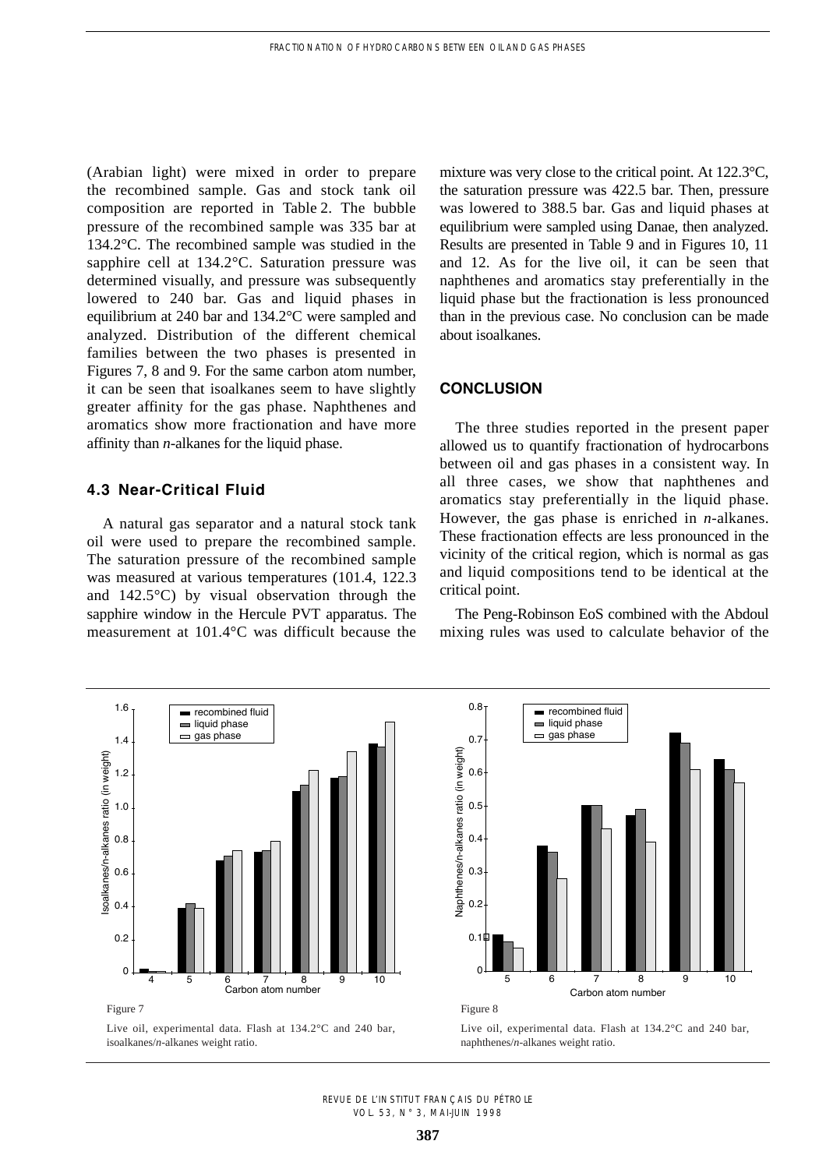(Arabian light) were mixed in order to prepare the recombined sample. Gas and stock tank oil composition are reported in Table 2. The bubble pressure of the recombined sample was 335 bar at 134.2°C. The recombined sample was studied in the sapphire cell at 134.2°C. Saturation pressure was determined visually, and pressure was subsequently lowered to 240 bar. Gas and liquid phases in equilibrium at 240 bar and 134.2°C were sampled and analyzed. Distribution of the different chemical families between the two phases is presented in Figures 7, 8 and 9. For the same carbon atom number, it can be seen that isoalkanes seem to have slightly greater affinity for the gas phase. Naphthenes and aromatics show more fractionation and have more affinity than *n*-alkanes for the liquid phase.

## **4.3 Near-Critical Fluid**

A natural gas separator and a natural stock tank oil were used to prepare the recombined sample. The saturation pressure of the recombined sample was measured at various temperatures (101.4, 122.3 and 142.5°C) by visual observation through the sapphire window in the Hercule PVT apparatus. The measurement at 101.4°C was difficult because the mixture was very close to the critical point. At 122.3°C, the saturation pressure was 422.5 bar. Then, pressure was lowered to 388.5 bar. Gas and liquid phases at equilibrium were sampled using Danae, then analyzed. Results are presented in Table 9 and in Figures 10, 11 and 12. As for the live oil, it can be seen that naphthenes and aromatics stay preferentially in the liquid phase but the fractionation is less pronounced than in the previous case. No conclusion can be made about isoalkanes.

## **CONCLUSION**

The three studies reported in the present paper allowed us to quantify fractionation of hydrocarbons between oil and gas phases in a consistent way. In all three cases, we show that naphthenes and aromatics stay preferentially in the liquid phase. However, the gas phase is enriched in *n*-alkanes. These fractionation effects are less pronounced in the vicinity of the critical region, which is normal as gas and liquid compositions tend to be identical at the critical point.

The Peng-Robinson EoS combined with the Abdoul mixing rules was used to calculate behavior of the



isoalkanes/*n*-alkanes weight ratio.

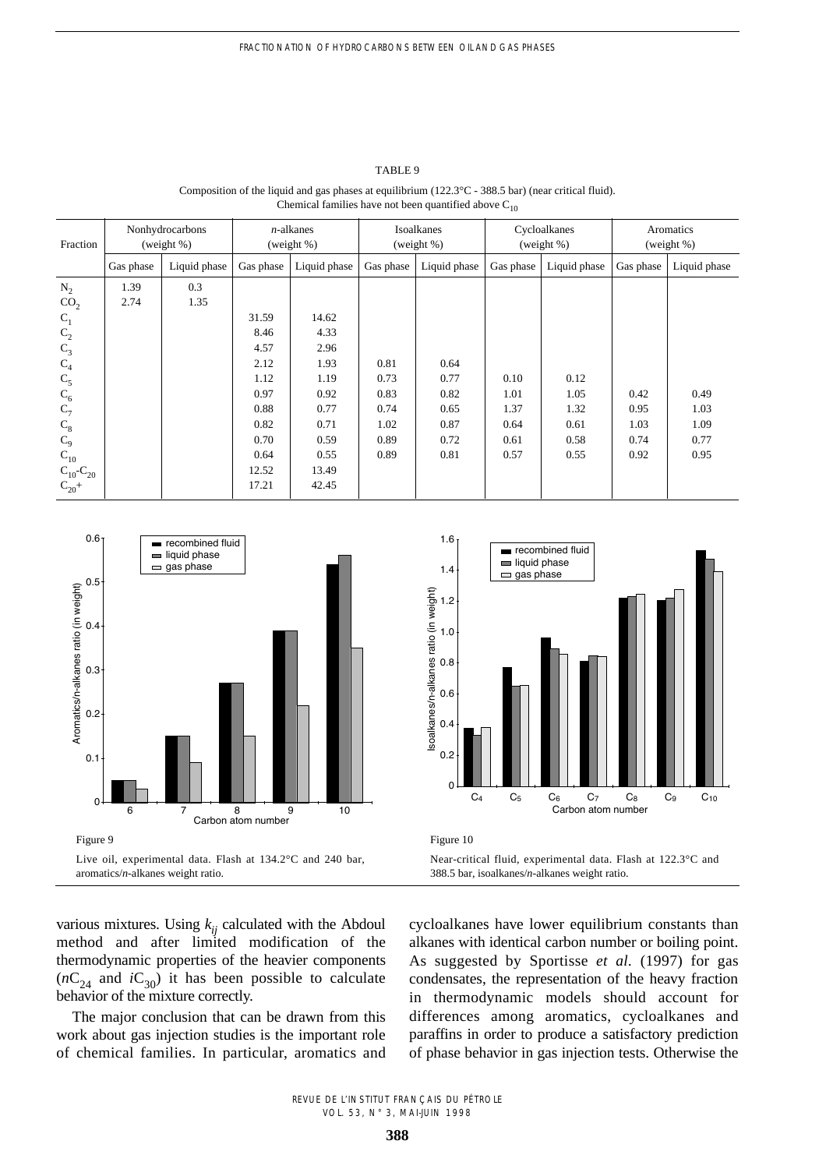| Fraction                                                                                                 | Nonhydrocarbons<br>(weight %) |              | $n$ -alkanes<br>(weight %) |              | Isoalkanes<br>(weight %) |              |           | Cycloalkanes<br>(weight %) | Aromatics<br>(weight %) |              |
|----------------------------------------------------------------------------------------------------------|-------------------------------|--------------|----------------------------|--------------|--------------------------|--------------|-----------|----------------------------|-------------------------|--------------|
|                                                                                                          | Gas phase                     | Liquid phase | Gas phase                  | Liquid phase | Gas phase                | Liquid phase | Gas phase | Liquid phase               | Gas phase               | Liquid phase |
| $N_2$                                                                                                    | 1.39                          | 0.3          |                            |              |                          |              |           |                            |                         |              |
| CO <sub>2</sub>                                                                                          | 2.74                          | 1.35         |                            |              |                          |              |           |                            |                         |              |
| $C_1$                                                                                                    |                               |              | 31.59                      | 14.62        |                          |              |           |                            |                         |              |
| $C_2$                                                                                                    |                               |              | 8.46                       | 4.33         |                          |              |           |                            |                         |              |
| $C_3$                                                                                                    |                               |              | 4.57                       | 2.96         |                          |              |           |                            |                         |              |
| $C_4$                                                                                                    |                               |              | 2.12                       | 1.93         | 0.81                     | 0.64         |           |                            |                         |              |
| $C_5$                                                                                                    |                               |              | 1.12                       | 1.19         | 0.73                     | 0.77         | 0.10      | 0.12                       |                         |              |
| $C_6$                                                                                                    |                               |              | 0.97                       | 0.92         | 0.83                     | 0.82         | 1.01      | 1.05                       | 0.42                    | 0.49         |
| $C_7$                                                                                                    |                               |              | 0.88                       | 0.77         | 0.74                     | 0.65         | 1.37      | 1.32                       | 0.95                    | 1.03         |
| $C_8$                                                                                                    |                               |              | 0.82                       | 0.71         | 1.02                     | 0.87         | 0.64      | 0.61                       | 1.03                    | 1.09         |
| $C_9$                                                                                                    |                               |              | 0.70                       | 0.59         | 0.89                     | 0.72         | 0.61      | 0.58                       | 0.74                    | 0.77         |
|                                                                                                          |                               |              | 0.64                       | 0.55         | 0.89                     | 0.81         | 0.57      | 0.55                       | 0.92                    | 0.95         |
|                                                                                                          |                               |              | 12.52                      | 13.49        |                          |              |           |                            |                         |              |
| $\begin{array}{c} {\rm C}_{10}\\ {\rm C}_{10} \mbox{-} {\rm C}_{20}\\ {\rm C}_{20} \mbox{+} \end{array}$ |                               |              | 17.21                      | 42.45        |                          |              |           |                            |                         |              |



Composition of the liquid and gas phases at equilibrium (122.3°C - 388.5 bar) (near critical fluid). Chemical families have not been quantified above  $C_{10}$ 





various mixtures. Using  $k_{ij}$  calculated with the Abdoul method and after limited modification of the thermodynamic properties of the heavier components  $(nC_{24}$  and  $iC_{30})$  it has been possible to calculate behavior of the mixture correctly.

The major conclusion that can be drawn from this work about gas injection studies is the important role of chemical families. In particular, aromatics and cycloalkanes have lower equilibrium constants than alkanes with identical carbon number or boiling point. As suggested by Sportisse *et al.* (1997) for gas condensates, the representation of the heavy fraction in thermodynamic models should account for differences among aromatics, cycloalkanes and paraffins in order to produce a satisfactory prediction of phase behavior in gas injection tests. Otherwise the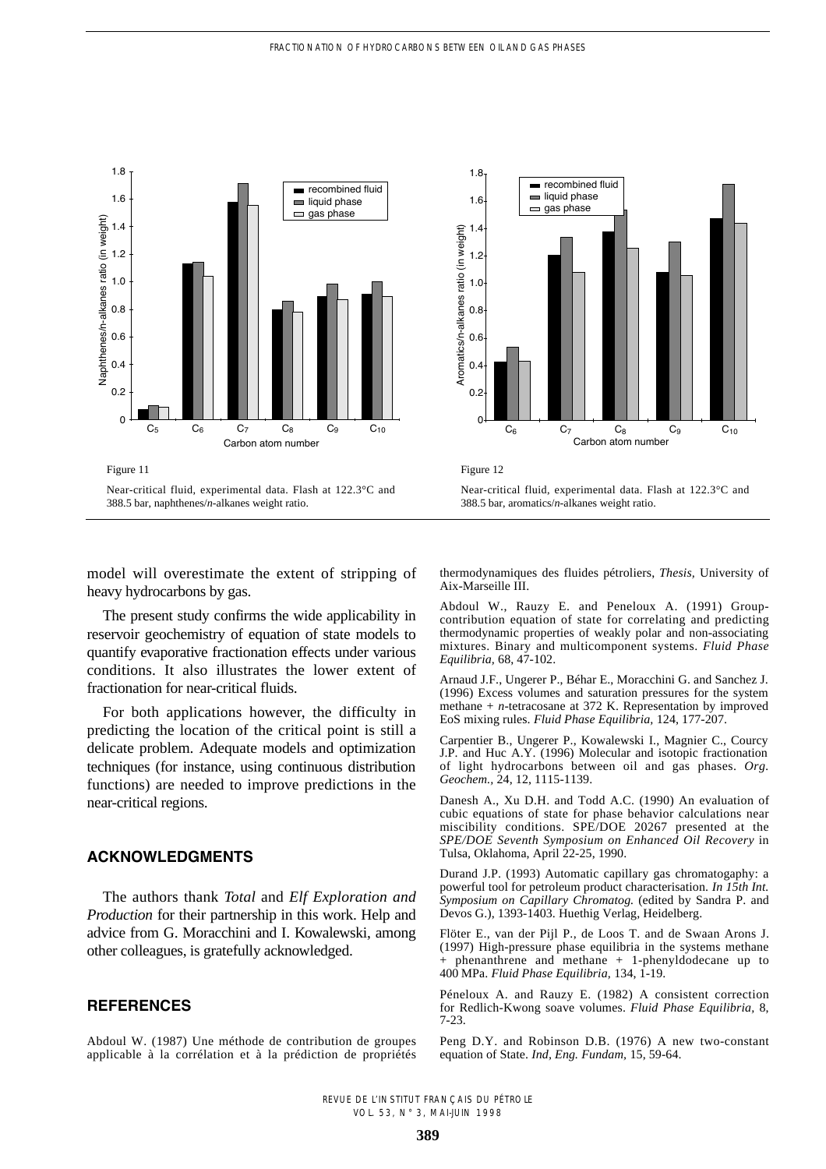

model will overestimate the extent of stripping of heavy hydrocarbons by gas.

The present study confirms the wide applicability in reservoir geochemistry of equation of state models to quantify evaporative fractionation effects under various conditions. It also illustrates the lower extent of fractionation for near-critical fluids.

For both applications however, the difficulty in predicting the location of the critical point is still a delicate problem. Adequate models and optimization techniques (for instance, using continuous distribution functions) are needed to improve predictions in the near-critical regions.

# **ACKNOWLEDGMENTS**

The authors thank *Total* and *Elf Exploration and Production* for their partnership in this work. Help and advice from G. Moracchini and I. Kowalewski, among other colleagues, is gratefully acknowledged.

#### **REFERENCES**

Abdoul W. (1987) Une méthode de contribution de groupes applicable à la corrélation et à la prédiction de propriétés

thermodynamiques des fluides pétroliers, *Thesis,* University of Aix-Marseille III.

Abdoul W., Rauzy E. and Peneloux A. (1991) Groupcontribution equation of state for correlating and predicting thermodynamic properties of weakly polar and non-associating mixtures. Binary and multicomponent systems. *Fluid Phase Equilibria,* 68, 47-102.

Arnaud J.F., Ungerer P., Béhar E., Moracchini G. and Sanchez J. (1996) Excess volumes and saturation pressures for the system methane + *n*-tetracosane at 372 K. Representation by improved EoS mixing rules. *Fluid Phase Equilibria,* 124, 177-207.

Carpentier B., Ungerer P., Kowalewski I., Magnier C., Courcy J.P. and Huc A.Y. (1996) Molecular and isotopic fractionation of light hydrocarbons between oil and gas phases. *Org. Geochem.,* 24, 12, 1115-1139.

Danesh A., Xu D.H. and Todd A.C. (1990) An evaluation of cubic equations of state for phase behavior calculations near miscibility conditions. SPE/DOE 20267 presented at the *SPE/DOE Seventh Symposium on Enhanced Oil Recovery* in Tulsa, Oklahoma, April 22-25, 1990.

Durand J.P. (1993) Automatic capillary gas chromatogaphy: a powerful tool for petroleum product characterisation. *In 15th Int. Symposium on Capillary Chromatog.* (edited by Sandra P. and Devos G.), 1393-1403. Huethig Verlag, Heidelberg.

Flöter E., van der Pijl P., de Loos T. and de Swaan Arons J. (1997) High-pressure phase equilibria in the systems methane phenanthrene and methane + 1-phenyldodecane up to 400 MPa. *Fluid Phase Equilibria,* 134, 1-19.

Péneloux A. and Rauzy E. (1982) A consistent correction for Redlich-Kwong soave volumes. *Fluid Phase Equilibria,* 8, 7-23.

Peng D.Y. and Robinson D.B. (1976) A new two-constant equation of State. *Ind, Eng. Fundam,* 15, 59-64.